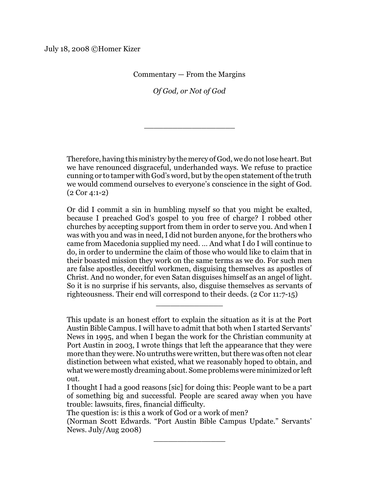Commentary — From the Margins

*Of God, or Not of God*

\_\_\_\_\_\_\_\_\_\_\_\_\_\_\_\_\_\_\_

Therefore, having this ministry by the mercy of God, we do notlose heart. But we have renounced disgraceful, underhanded ways. We refuse to practice cunning or to tamper with God's word, but by the open statement of the truth we would commend ourselves to everyone's conscience in the sight of God. (2 Cor 4:1-2)

Or did I commit a sin in humbling myself so that you might be exalted, because I preached God's gospel to you free of charge? I robbed other churches by accepting support from them in order to serve you. And when I was with you and was in need, I did not burden anyone, for the brothers who came from Macedonia supplied my need. … And what I do I will continue to do, in order to undermine the claim of those who would like to claim that in their boasted mission they work on the same terms as we do. For such men are false apostles, deceitful workmen, disguising themselves as apostles of Christ. And no wonder, for even Satan disguises himself as an angel of light. So it is no surprise if his servants, also, disguise themselves as servants of righteousness. Their end will correspond to their deeds. (2 Cor 11:7-15)

This update is an honest effort to explain the situation as it is at the Port Austin Bible Campus. I will have to admit that both when I started Servants' News in 1995, and when I began the work for the Christian community at Port Austin in 2003, I wrote things that left the appearance that they were more than they were. No untruths were written, but there was often not clear distinction between what existed, what we reasonably hoped to obtain, and what we were mostly dreaming about. Some problems were minimized or left out.

\_\_\_\_\_\_\_\_\_\_\_\_\_\_

The question is: is this a work of God or a work of men?

(Norman Scott Edwards. "Port Austin Bible Campus Update." Servants' News. July/Aug 2008)

\_\_\_\_\_\_\_\_\_\_\_\_\_\_\_

I thought I had a good reasons [sic] for doing this: People want to be a part of something big and successful. People are scared away when you have trouble: lawsuits, fires, financial difficulty.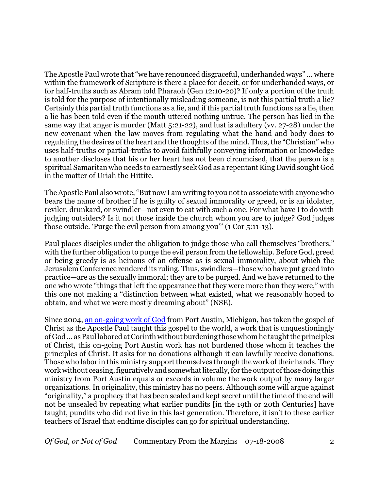The Apostle Paul wrote that "we have renounced disgraceful, underhanded ways" … where within the framework of Scripture is there a place for deceit, or for underhanded ways, or for half-truths such as Abram told Pharaoh (Gen 12:10-20)? If only a portion of the truth is told for the purpose of intentionally misleading someone, is not this partial truth a lie? Certainly this partial truth functions as a lie, and if this partial truth functions as a lie, then a lie has been told even if the mouth uttered nothing untrue. The person has lied in the same way that anger is murder (Matt 5:21-22), and lust is adultery (vv. 27-28) under the new covenant when the law moves from regulating what the hand and body does to regulating the desires of the heart and the thoughts of the mind. Thus, the "Christian" who uses half-truths or partial-truths to avoid faithfully conveying information or knowledge to another discloses that his or her heart has not been circumcised, that the person is a spiritual Samaritan who needs to earnestly seek God as a repentant King David sought God in the matter of Uriah the Hittite.

The Apostle Paul also wrote, "But now I am writing to you not to associate with anyone who bears the name of brother if he is guilty of sexual immorality or greed, or is an idolater, reviler, drunkard, or swindler—not even to eat with such a one. For what have I to do with judging outsiders? Is it not those inside the church whom you are to judge? God judges those outside. 'Purge the evil person from among you'" (1 Cor 5:11-13).

Paul places disciples under the obligation to judge those who call themselves "brothers," with the further obligation to purge the evil person from the fellowship. Before God, greed or being greedy is as heinous of an offense as is sexual immorality, about which the Jerusalem Conference rendered its ruling. Thus, swindlers—those who have put greed into practice—are as the sexually immoral; they are to be purged. And we have returned to the one who wrote "things that left the appearance that they were more than they were," with this one not making a "distinction between what existed, what we reasonably hoped to obtain, and what we were mostly dreaming about" (NSE).

Since 2004, [an on-going work of](http://thephiladelphiachurch.org/) God from Port Austin, Michigan, has taken the gospel of Christ as the Apostle Paul taught this gospel to the world, a work that is unquestioningly of God ... as Paul labored at Corinth without burdening those whom he taught the principles of Christ, this on-going Port Austin work has not burdened those whom it teaches the principles of Christ. It asks for no donations although it can lawfully receive donations. Those who labor in this ministry support themselves through the work oftheir hands. They work without ceasing, figuratively and somewhatliterally, for the output ofthose doing this ministry from Port Austin equals or exceeds in volume the work output by many larger organizations. In originality, this ministry has no peers. Although some will argue against "originality," a prophecy that has been sealed and kept secret until the time of the end will not be unsealed by repeating what earlier pundits [in the 19th or 20th Centuries] have taught, pundits who did not live in this last generation. Therefore, it isn't to these earlier teachers of Israel that endtime disciples can go for spiritual understanding.

*Of God, or Not of God* Commentary From the Margins 07-18-2008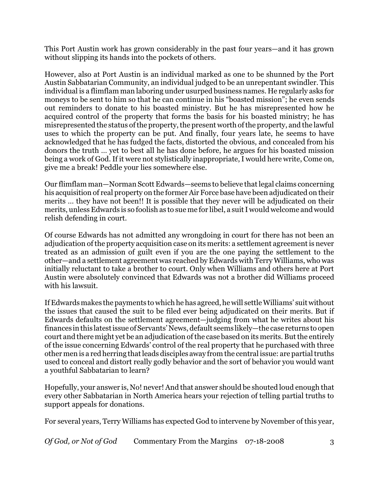This Port Austin work has grown considerably in the past four years—and it has grown without slipping its hands into the pockets of others.

However, also at Port Austin is an individual marked as one to be shunned by the Port Austin Sabbatarian Community, an individual judged to be an unrepentant swindler. This individual is a flimflam man laboring under usurped business names. He regularly asks for moneys to be sent to him so that he can continue in his "boasted mission"; he even sends out reminders to donate to his boasted ministry. But he has misrepresented how he acquired control of the property that forms the basis for his boasted ministry; he has misrepresented the status of the property, the present worth of the property, and the lawful uses to which the property can be put. And finally, four years late, he seems to have acknowledged that he has fudged the facts, distorted the obvious, and concealed from his donors the truth … yet to best all he has done before, he argues for his boasted mission being a work of God. If it were not stylistically inappropriate, I would here write, Come on, give me a break! Peddle your lies somewhere else.

Our flimflam man—Norman Scott Edwards—seems to believe that legal claims concerning his acquisition of real property on the former Air Force base have been adjudicated on their merits … they have not been!! It is possible that they never will be adjudicated on their merits, unless Edwards is so foolish as to sue me for libel, a suit I would welcome and would relish defending in court.

Of course Edwards has not admitted any wrongdoing in court for there has not been an adjudication ofthe property acquisition case on its merits: a settlement agreementis never treated as an admission of guilt even if you are the one paying the settlement to the other—and a settlement agreement was reached by Edwards with Terry Williams, who was initially reluctant to take a brother to court. Only when Williams and others here at Port Austin were absolutely convinced that Edwards was not a brother did Williams proceed with his lawsuit.

IfEdwards makes the payments to which he has agreed, he will settle Williams' suit without the issues that caused the suit to be filed ever being adjudicated on their merits. But if Edwards defaults on the settlement agreement—judging from what he writes about his finances in this latestissue of Servants' News, default seems likely—the case returns to open court and there might yet be an adjudication ofthe case based on its merits. But the entirely of the issue concerning Edwards' control of the real property that he purchased with three other men is a red herring thatleads disciples away from the central issue: are partial truths used to conceal and distort really godly behavior and the sort of behavior you would want a youthful Sabbatarian to learn?

Hopefully, your answer is, No! never! And that answer should be shouted loud enough that every other Sabbatarian in North America hears your rejection of telling partial truths to support appeals for donations.

For several years, Terry Williams has expected God to intervene by November of this year,

*Of God, or Not of God* Commentary From the Margins 07-18-2008 3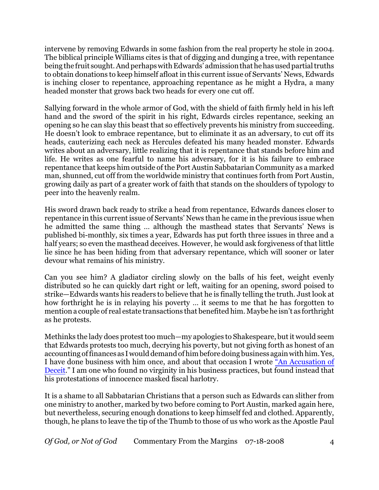intervene by removing Edwards in some fashion from the real property he stole in 2004. The biblical principle Williams cites is that of digging and dunging a tree, with repentance being the fruit sought. And perhaps with Edwards' admission that he has used partial truths to obtain donations to keep himself afloat in this current issue of Servants' News, Edwards is inching closer to repentance, approaching repentance as he might a Hydra, a many headed monster that grows back two heads for every one cut off.

Sallying forward in the whole armor of God, with the shield of faith firmly held in his left hand and the sword of the spirit in his right, Edwards circles repentance, seeking an opening so he can slay this beast that so effectively prevents his ministry from succeeding. He doesn't look to embrace repentance, but to eliminate it as an adversary, to cut off its heads, cauterizing each neck as Hercules defeated his many headed monster. Edwards writes about an adversary, little realizing that it is repentance that stands before him and life. He writes as one fearful to name his adversary, for it is his failure to embrace repentance that keeps him outside of the Port Austin Sabbatarian Community as a marked man, shunned, cut off from the worldwide ministry that continues forth from Port Austin, growing daily as part of a greater work of faith that stands on the shoulders of typology to peer into the heavenly realm.

His sword drawn back ready to strike a head from repentance, Edwards dances closer to repentance in this current issue of Servants' News than he came in the previous issue when he admitted the same thing … although the masthead states that Servants' News is published bi-monthly, six times a year, Edwards has put forth three issues in three and a half years; so even the masthead deceives. However, he would ask forgiveness of that little lie since he has been hiding from that adversary repentance, which will sooner or later devour what remains of his ministry.

Can you see him? A gladiator circling slowly on the balls of his feet, weight evenly distributed so he can quickly dart right or left, waiting for an opening, sword poised to strike—Edwards wants his readers to believe that he is finally telling the truth. Just look at how forthright he is in relaying his poverty … it seems to me that he has forgotten to mention a couple of real estate transactions that benefited him. Maybe he isn't as forthright as he protests.

Methinks the lady does protest too much—my apologies to Shakespeare, but it would seem that Edwards protests too much, decrying his poverty, but not giving forth as honest of an accounting offinances as I would demand of him before doing business again with him. Yes, I have done business with him once, and about that occasion I wrote ["An Accusation of](http://homerkizer.org/nse.html) [Deceit](http://homerkizer.org/nse.html)." I am one who found no virginity in his business practices, but found instead that his protestations of innocence masked fiscal harlotry.

It is a shame to all Sabbatarian Christians that a person such as Edwards can slither from one ministry to another, marked by two before coming to Port Austin, marked again here, but nevertheless, securing enough donations to keep himself fed and clothed. Apparently, though, he plans to leave the tip of the Thumb to those of us who work as the Apostle Paul